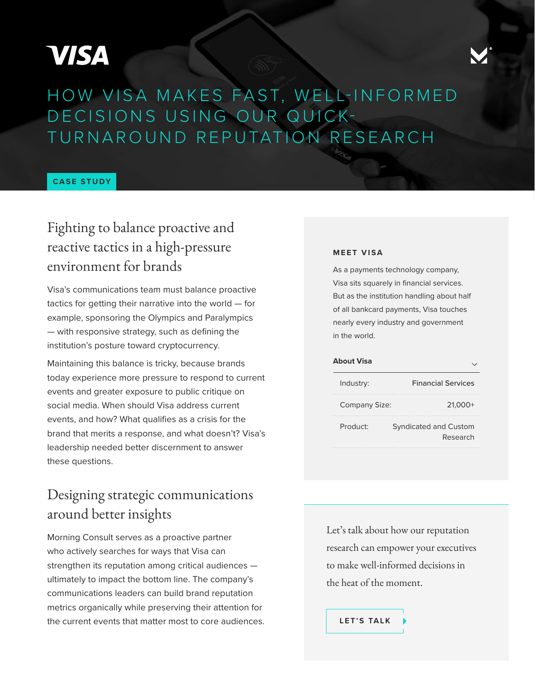# **VISA**



# HOW VISA MAKES FAST, WELL-INFORMED DECISIONS USING OUR QUICK-TURNAROUND REPUTATION RESEARCH

#### **CASE STUDY**

## Fighting to balance proactive and reactive tactics in a high-pressure environment for brands

Visa's communications team must balance proactive tactics for getting their narrative into the world — for example, sponsoring the Olympics and Paralympics — with responsive strategy, such as defining the institution's posture toward cryptocurrency.

Maintaining this balance is tricky, because brands today experience more pressure to respond to current events and greater exposure to public critique on social media. When should Visa address current events, and how? What qualifies as a crisis for the brand that merits a response, and what doesn't? Visa's leadership needed better discernment to answer these questions.

## Designing strategic communications around better insights

Morning Consult serves as a proactive partner who actively searches for ways that Visa can strengthen its reputation among critical audiences ultimately to impact the bottom line. The company's communications leaders can build brand reputation metrics organically while preserving their attention for the current events that matter most to core audiences.

#### **MEET VISA**

As a payments technology company, Visa sits squarely in financial services. But as the institution handling about half of all bankcard payments, Visa touches nearly every industry and government in the world.

| <b>About Visa</b> |                                          |
|-------------------|------------------------------------------|
| Industry:         | <b>Financial Services</b>                |
| Company Size:     | 21.000+                                  |
| Product:          | <b>Syndicated and Custom</b><br>Research |

Let's talk about how our reputation research can empower your executives to make well-informed decisions in the heat of the moment.

**[LET'S TALK](https://info.morningconsult.com/request-a-demo)**